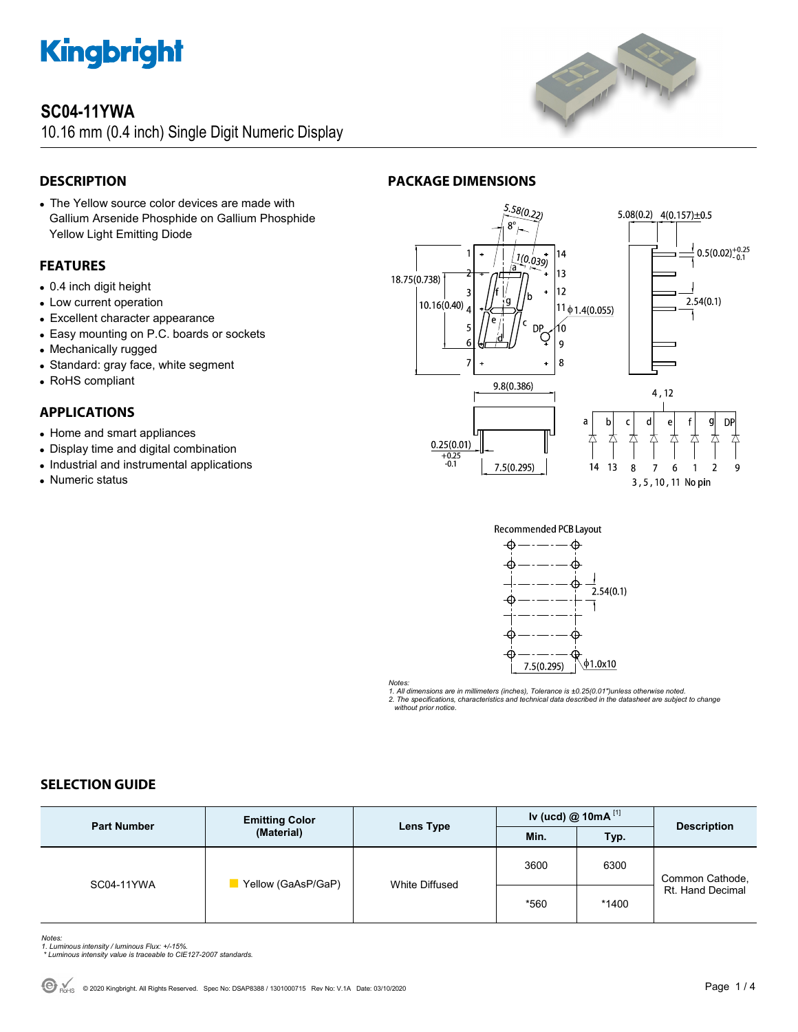

# **SC04-11YWA**

10.16 mm (0.4 inch) Single Digit Numeric Display

# **DESCRIPTION**

• The Yellow source color devices are made with Gallium Arsenide Phosphide on Gallium Phosphide Yellow Light Emitting Diode

# **FEATURES**

- 0.4 inch digit height
- Low current operation
- Excellent character appearance
- Easy mounting on P.C. boards or sockets
- Mechanically rugged
- Standard: gray face, white segment
- RoHS compliant

# **APPLICATIONS**

- Home and smart appliances
- Display time and digital combination
- Industrial and instrumental applications
- Numeric status



# **PACKAGE DIMENSIONS**





*Notes:* 

*1. All dimensions are in millimeters (inches), Tolerance is ±0.25(0.01")unless otherwise noted.* 

*2. The specifications, characteristics and technical data described in the datasheet are subject to change without prior notice.* 

# **SELECTION GUIDE**

| <b>Part Number</b> | <b>Emitting Color</b><br>(Material) | Lens Type      | Iv (ucd) $@ 10mA$ <sup>[1]</sup> |       | <b>Description</b>                  |
|--------------------|-------------------------------------|----------------|----------------------------------|-------|-------------------------------------|
|                    |                                     |                | Min.                             | Typ.  |                                     |
| SC04-11YWA         | Yellow (GaAsP/GaP)                  | White Diffused | 3600                             | 6300  | Common Cathode,<br>Rt. Hand Decimal |
|                    |                                     |                | *560                             | *1400 |                                     |

*Notes: 1. Luminous intensity / luminous Flux: +/-15%.* 

 *\* Luminous intensity value is traceable to CIE127-2007 standards.*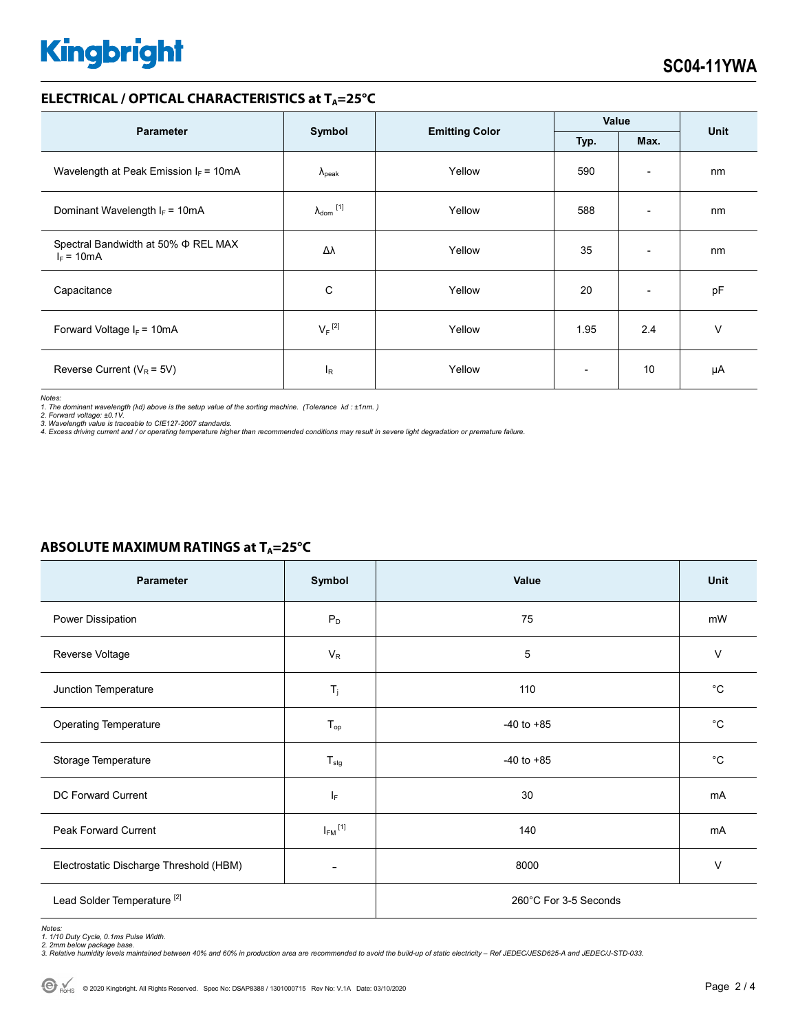# **Kingbright**

## **ELECTRICAL / OPTICAL CHARACTERISTICS at T<sub>A</sub>=25°C**

| <b>Parameter</b>                                         | Symbol                     |                       | Value                    |                          | <b>Unit</b> |
|----------------------------------------------------------|----------------------------|-----------------------|--------------------------|--------------------------|-------------|
|                                                          |                            | <b>Emitting Color</b> | Typ.<br>Max.             |                          |             |
| Wavelength at Peak Emission $I_F = 10mA$                 | $\Lambda_{\rm peak}$       | Yellow                | 590                      | $\overline{\phantom{a}}$ | nm          |
| Dominant Wavelength $I_F = 10mA$                         | $\lambda_{\text{dom}}$ [1] | Yellow                | 588                      | $\overline{\phantom{a}}$ | nm          |
| Spectral Bandwidth at 50% $\Phi$ REL MAX<br>$I_F = 10mA$ | Δλ                         | Yellow                | 35                       | $\overline{\phantom{a}}$ | nm          |
| Capacitance                                              | C                          | Yellow                | 20                       | $\overline{\phantom{a}}$ | pF          |
| Forward Voltage $I_F$ = 10mA                             | $V_F$ <sup>[2]</sup>       | Yellow                | 1.95                     | 2.4                      | $\vee$      |
| Reverse Current ( $V_R$ = 5V)                            | $I_R$                      | Yellow                | $\overline{\phantom{0}}$ | 10                       | μA          |

*Notes:* 

1. The dominant wavelength (λd) above is the setup value of the sorting machine. (Tolerance λd : ±1nm. )<br>2. Forward voltage: ±0.1V.<br>3. Wavelength value is traceable to CIE127-2007 standards.

*4. Excess driving current and / or operating temperature higher than recommended conditions may result in severe light degradation or premature failure.* 

# **ABSOLUTE MAXIMUM RATINGS at T<sub>A</sub>=25°C**

| <b>Parameter</b>                        | Symbol                  | Value                 | Unit         |  |
|-----------------------------------------|-------------------------|-----------------------|--------------|--|
| Power Dissipation                       | $P_D$                   | 75                    | mW           |  |
| Reverse Voltage                         | $V_R$                   | 5                     | $\vee$       |  |
| Junction Temperature                    | $\mathsf{T}_j$          | 110                   | $^{\circ}C$  |  |
| <b>Operating Temperature</b>            | $T_{op}$                | $-40$ to $+85$        | $^{\circ}C$  |  |
| Storage Temperature                     | $T_{\text{stg}}$        | $-40$ to $+85$        | $^{\circ}$ C |  |
| DC Forward Current                      | lF.                     | 30                    | mA           |  |
| Peak Forward Current                    | $I_{FM}$ <sup>[1]</sup> | 140                   | mA           |  |
| Electrostatic Discharge Threshold (HBM) |                         | 8000                  | $\vee$       |  |
| Lead Solder Temperature <sup>[2]</sup>  |                         | 260°C For 3-5 Seconds |              |  |

Notes:<br>1. 1/10 Duty Cycle, 0.1ms Pulse Width.<br>2. 2mm below package base.<br>3. Relative humidity levels maintained between 40% and 60% in production area are recommended to avoid the build-up of static electricity – Ref JEDEC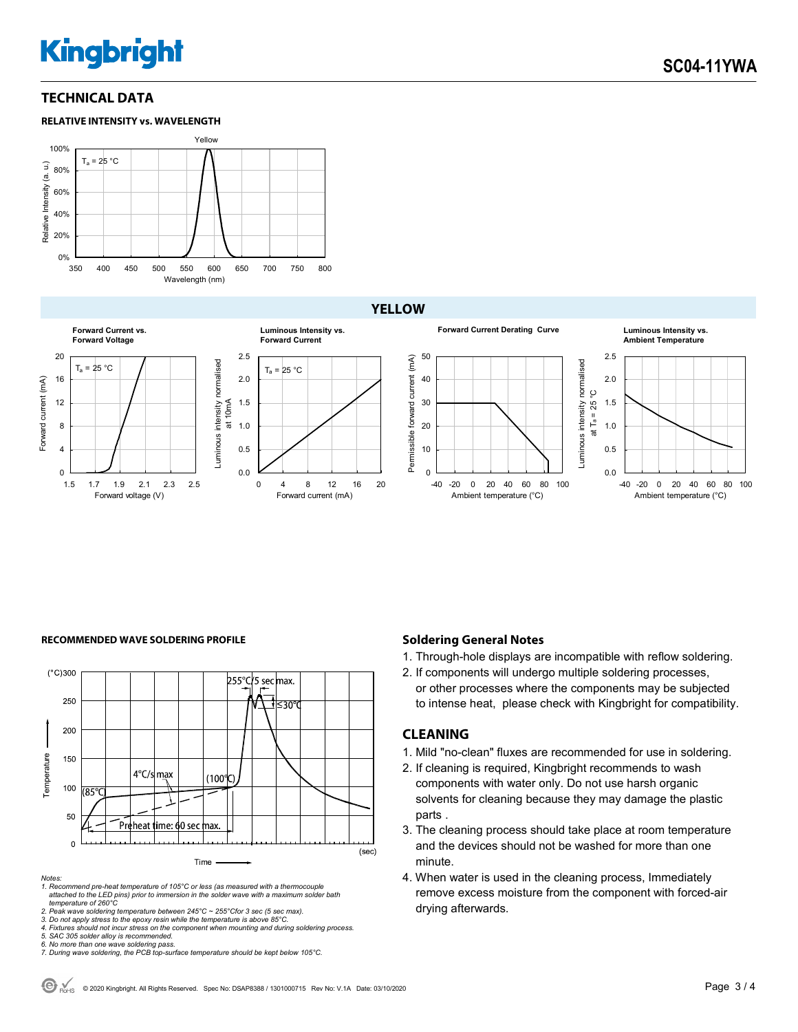# **Kingbright**

# **TECHNICAL DATA**





# **YELLOW**



### **RECOMMENDED WAVE SOLDERING PROFILE <b>A CONDUCT A CONDUCT SOLDERING PROFILE Soldering General Notes**



#### *Notes:*

*1. Recommend pre-heat temperature of 105°C or less (as measured with a thermocouple attached to the LED pins) prior to immersion in the solder wave with a maximum solder bath temperature of 260°C* 

2. Peak wave soldering temperature between 245°C ~ 255°Cfor 3 sec (5 sec max).<br>3. Do not apply stress to the epoxy resin while the temperature is above 85°C.<br>4. Fixtures should not incur stress on the component when mounti

*5. SAC 305 solder alloy is recommended.* 

*6. No more than one wave soldering pass. 7. During wave soldering, the PCB top-surface temperature should be kept below 105°C.*

- 1. Through-hole displays are incompatible with reflow soldering.
- 2. If components will undergo multiple soldering processes, or other processes where the components may be subjected to intense heat, please check with Kingbright for compatibility.

### **CLEANING**

- 1. Mild "no-clean" fluxes are recommended for use in soldering.
- 2. If cleaning is required, Kingbright recommends to wash components with water only. Do not use harsh organic solvents for cleaning because they may damage the plastic parts .
- 3. The cleaning process should take place at room temperature and the devices should not be washed for more than one minute.
- 4. When water is used in the cleaning process, Immediately remove excess moisture from the component with forced-air drying afterwards.